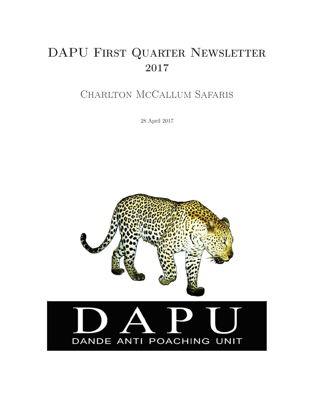# DAPU FIRST QUARTER NEWSLETTER 2017

# Charlton McCallum Safaris

28 April 2017



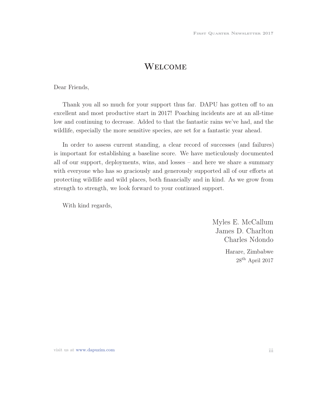## **WELCOME**

Dear Friends,

Thank you all so much for your support thus far. DAPU has gotten off to an excellent and most productive start in 2017! Poaching incidents are at an all-time low and continuing to decrease. Added to that the fantastic rains we've had, and the wildlife, especially the more sensitive species, are set for a fantastic year ahead.

In order to assess current standing, a clear record of successes (and failures) is important for establishing a baseline score. We have meticulously documented all of our support, deployments, wins, and losses – and here we share a summary with everyone who has so graciously and generously supported all of our efforts at protecting wildlife and wild places, both financially and in kind. As we grow from strength to strength, we look forward to your continued support.

With kind regards,

Myles E. McCallum James D. Charlton Charles Ndondo Harare, Zimbabwe  $28<sup>th</sup>$  April 2017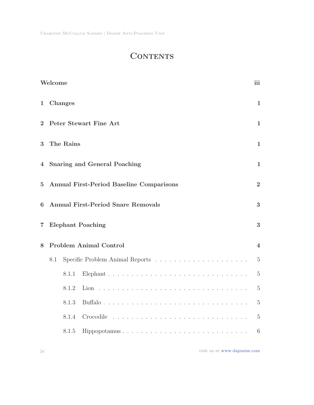## **CONTENTS**

|                | Welcome                                                           |           |                               | iii                     |  |  |  |
|----------------|-------------------------------------------------------------------|-----------|-------------------------------|-------------------------|--|--|--|
| 1              |                                                                   | Changes   |                               | $\mathbf{1}$            |  |  |  |
| $\overline{2}$ |                                                                   |           | Peter Stewart Fine Art        | $\mathbf{1}$            |  |  |  |
| 3              |                                                                   | The Rains |                               | $\mathbf{1}$            |  |  |  |
| $\overline{4}$ | <b>Snaring and General Poaching</b><br>$\mathbf{1}$               |           |                               |                         |  |  |  |
| $\overline{5}$ | <b>Annual First-Period Baseline Comparisons</b><br>$\overline{2}$ |           |                               |                         |  |  |  |
| 6              | <b>Annual First-Period Snare Removals</b><br>3                    |           |                               |                         |  |  |  |
| 7              |                                                                   |           | <b>Elephant Poaching</b>      | 3                       |  |  |  |
| 8              |                                                                   |           | <b>Problem Animal Control</b> | $\overline{\mathbf{4}}$ |  |  |  |
|                | 8.1                                                               |           |                               | $\overline{5}$          |  |  |  |
|                |                                                                   | 8.1.1     |                               | $\overline{5}$          |  |  |  |
|                |                                                                   | 8.1.2     |                               | $\overline{5}$          |  |  |  |
|                |                                                                   | 8.1.3     |                               | $\overline{5}$          |  |  |  |
|                |                                                                   | 8.1.4     | Crocodile                     | $\overline{5}$          |  |  |  |
|                |                                                                   | 8.1.5     | Hippopotamus                  | 6                       |  |  |  |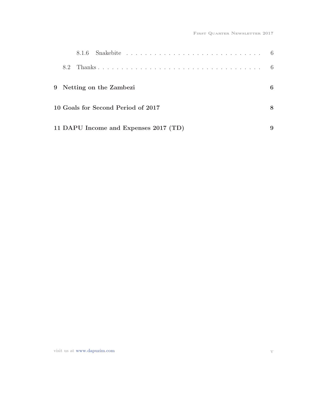| 8.2 |                                       |  |  |  |  |  |  |  |  |  |  |   |
|-----|---------------------------------------|--|--|--|--|--|--|--|--|--|--|---|
|     | 9 Netting on the Zambezi              |  |  |  |  |  |  |  |  |  |  | 6 |
|     | 10 Goals for Second Period of 2017    |  |  |  |  |  |  |  |  |  |  | 8 |
|     | 11 DAPU Income and Expenses 2017 (TD) |  |  |  |  |  |  |  |  |  |  |   |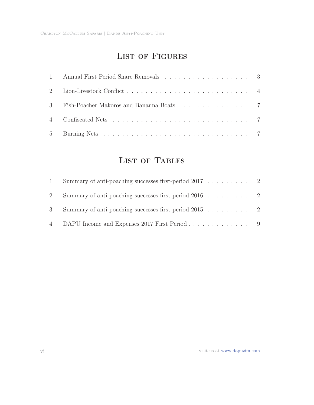## LIST OF FIGURES

| 3 Fish-Poacher Makoros and Bananna Boats 7 |  |
|--------------------------------------------|--|
|                                            |  |
|                                            |  |

## List of Tables

| $\mathbf{1}$ | Summary of anti-poaching successes first-period 2017 2   |  |
|--------------|----------------------------------------------------------|--|
|              | Summary of anti-poaching successes first-period 2016 2   |  |
|              | 3 Summary of anti-poaching successes first-period 2015 2 |  |
|              | 4 DAPU Income and Expenses 2017 First Period 9           |  |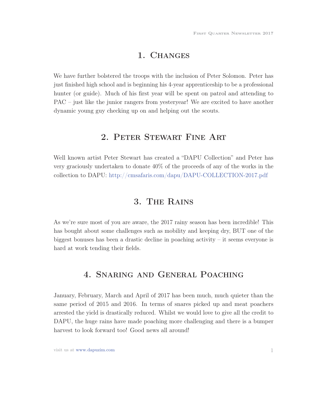### 1. Changes

We have further bolstered the troops with the inclusion of Peter Solomon. Peter has just finished high school and is beginning his 4-year apprenticeship to be a professional hunter (or guide). Much of his first year will be spent on patrol and attending to PAC – just like the junior rangers from yesteryear! We are excited to have another dynamic young guy checking up on and helping out the scouts.

## 2. Peter Stewart Fine Art

Well known artist Peter Stewart has created a "DAPU Collection" and Peter has very graciously undertaken to donate 40% of the proceeds of any of the works in the collection to DAPU: http://cmsafaris.com/dapu/DAPU-COLLECTION-2017.pdf

## 3. The Rains

As we're sure most of you are aware, the 2017 rainy season has been incredible! This has bought about some challenges such as mobility and keeping dry, BUT one of the biggest bonuses has been a drastic decline in poaching activity – it seems everyone is hard at work tending their fields.

## 4. Snaring and General Poaching

January, February, March and April of 2017 has been much, much quieter than the same period of 2015 and 2016. In terms of snares picked up and meat poachers arrested the yield is drastically reduced. Whilst we would love to give all the credit to DAPU, the huge rains have made poaching more challenging and there is a bumper harvest to look forward too! Good news all around!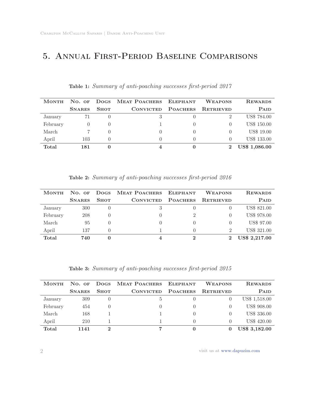## 5. Annual First-Period Baseline Comparisons

| <b>MONTH</b> | $No.$ OF      | <b>Dogs</b> | MEAT POACHERS ELEPHANT |                 | <b>WEAPONS</b>   | <b>REWARDS</b>     |
|--------------|---------------|-------------|------------------------|-----------------|------------------|--------------------|
|              | <b>SNARES</b> | <b>SHOT</b> | <b>CONVICTED</b>       | <b>POACHERS</b> | <b>RETRIEVED</b> | PAID               |
| January      |               |             | 3                      |                 |                  | US\$ 784.00        |
| February     |               |             |                        |                 |                  | <b>US\$ 150.00</b> |
| March        |               |             |                        |                 |                  | US\$ 19.00         |
| April        | 103           |             | $\mathbf{0}$           |                 |                  | <b>US\$ 133.00</b> |
| Total        | 181           |             | 4                      |                 |                  | US\$ 1,086.00      |

#### Table 1: Summary of anti-poaching successes first-period 2017

Table 2: Summary of anti-poaching successes first-period 2016

| $No.$ OF      | <b>Dogs</b> |                  |                 | <b>WEAPONS</b>         | <b>REWARDS</b>     |
|---------------|-------------|------------------|-----------------|------------------------|--------------------|
| <b>SNARES</b> | <b>SHOT</b> | <b>CONVICTED</b> | <b>POACHERS</b> | <b>RETRIEVED</b>       | <b>PAID</b>        |
| 300           |             | 3                |                 |                        | <b>US\$ 821.00</b> |
| 208           |             |                  | 2               |                        | US\$ 978.00        |
| 95            |             |                  |                 |                        | US\$ 97.00         |
| 137           |             |                  |                 | 2                      | <b>US\$ 321.00</b> |
| 740           |             |                  |                 |                        | US\$ 2,217.00      |
|               |             |                  |                 | MEAT POACHERS ELEPHANT |                    |

Table 3: Summary of anti-poaching successes first-period 2015

| <b>MONTH</b> | $No.$ OF      | <b>Dogs</b>      | MEAT POACHERS ELEPHANT |                 | <b>WEAPONS</b>   | <b>REWARDS</b>       |
|--------------|---------------|------------------|------------------------|-----------------|------------------|----------------------|
|              | <b>SNARES</b> | <b>SHOT</b>      | <b>CONVICTED</b>       | <b>POACHERS</b> | <b>RETRIEVED</b> | <b>PAID</b>          |
| January      | 309           | $\cup$           | 5                      |                 |                  | US\$ 1,518.00        |
| February     | 454           | $\left( \right)$ |                        |                 |                  | <b>US\$ 908.00</b>   |
| March        | 168           |                  |                        |                 | $\mathbf{0}$     | US\$ 336.00          |
| April        | 210           |                  |                        |                 | $\Omega$         | US\$ 420.00          |
| Total        | 1141          | ച                | 7                      |                 |                  | <b>US\$ 3,182.00</b> |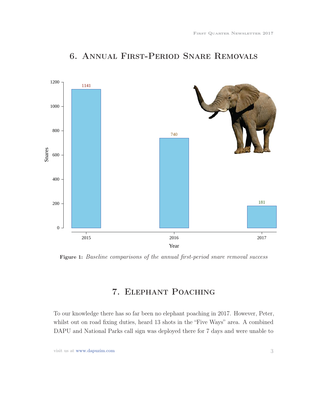

## 6. Annual First-Period Snare Removals

Figure 1: Baseline comparisons of the annual first-period snare removal success

## 7. Elephant Poaching

To our knowledge there has so far been no elephant poaching in 2017. However, Peter, whilst out on road fixing duties, heard 13 shots in the "Five Ways" area. A combined DAPU and National Parks call sign was deployed there for 7 days and were unable to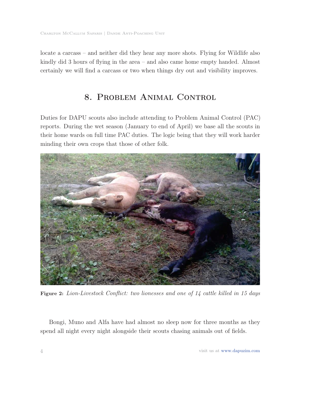locate a carcass – and neither did they hear any more shots. Flying for Wildlife also kindly did 3 hours of flying in the area – and also came home empty handed. Almost certainly we will find a carcass or two when things dry out and visibility improves.

## 8. Problem Animal Control

Duties for DAPU scouts also include attending to Problem Animal Control (PAC) reports. During the wet season (January to end of April) we base all the scouts in their home wards on full time PAC duties. The logic being that they will work harder minding their own crops that those of other folk.



Figure 2: Lion-Livestock Conflict: two lionesses and one of 14 cattle killed in 15 days

Bongi, Muno and Alfa have had almost no sleep now for three months as they spend all night every night alongside their scouts chasing animals out of fields.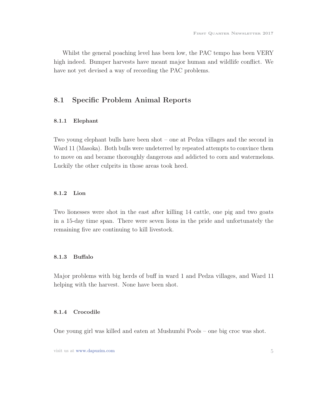Whilst the general poaching level has been low, the PAC tempo has been VERY high indeed. Bumper harvests have meant major human and wildlife conflict. We have not yet devised a way of recording the PAC problems.

#### 8.1 Specific Problem Animal Reports

#### 8.1.1 Elephant

Two young elephant bulls have been shot – one at Pedza villages and the second in Ward 11 (Masoka). Both bulls were undeterred by repeated attempts to convince them to move on and became thoroughly dangerous and addicted to corn and watermelons. Luckily the other culprits in those areas took heed.

#### 8.1.2 Lion

Two lionesses were shot in the east after killing 14 cattle, one pig and two goats in a 15-day time span. There were seven lions in the pride and unfortunately the remaining five are continuing to kill livestock.

#### 8.1.3 Buffalo

Major problems with big herds of buff in ward 1 and Pedza villages, and Ward 11 helping with the harvest. None have been shot.

#### 8.1.4 Crocodile

One young girl was killed and eaten at Mushumbi Pools – one big croc was shot.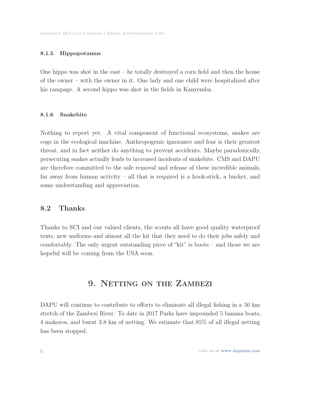#### 8.1.5 Hippopotamus

One hippo was shot in the east – he totally destroyed a corn field and then the house of the owner – with the owner in it. One lady and one child were hospitalized after his rampage. A second hippo was shot in the fields in Kanyemba.

#### 8.1.6 Snakebite

Nothing to report yet. A vital component of functional ecosystems, snakes are cogs in the ecological machine. Anthropogenic ignorance and fear is their greatest threat, and in fact neither do anything to prevent accidents. Maybe paradoxically, persecuting snakes actually leads to increased incidents of snakebite. CMS and DAPU are therefore committed to the safe removal and release of these incredible animals, far away from human activity – all that is required is a hook-stick, a bucket, and some understanding and appreciation.

#### 8.2 Thanks

Thanks to SCI and our valued clients, the scouts all have good quality waterproof tents, new uniforms and almost all the kit that they need to do their jobs safely and comfortably. The only urgent outstanding piece of "kit" is boots – and those we are hopeful will be coming from the USA soon.

### 9. NETTING ON THE ZAMBEZI

DAPU will continue to contribute to efforts to eliminate all illegal fishing in a 50 km stretch of the Zambezi River. To date in 2017 Parks have impounded 5 banana boats, 4 makoros, and burnt 3.8 km of netting. We estimate that 85% of all illegal netting has been stopped.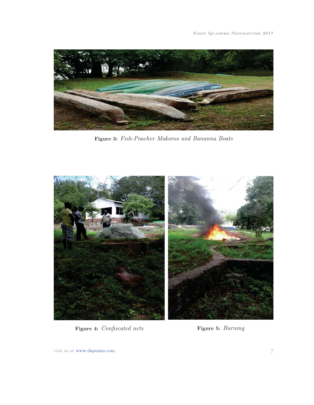

Figure 3: Fish-Poacher Makoros and Bananna Boats



Figure 4: *Confiscated nets* Figure 5: *Burning*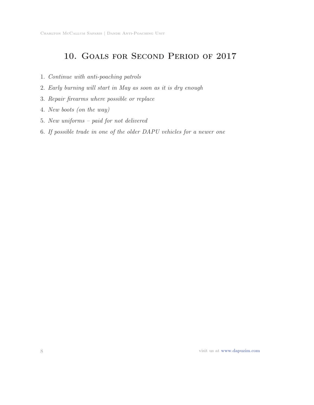## 10. Goals for Second Period of 2017

- 1. Continue with anti-poaching patrols
- 2. Early burning will start in May as soon as it is dry enough
- 3. Repair firearms where possible or replace
- 4. New boots (on the way)
- 5. New uniforms paid for not delivered
- 6. If possible trade in one of the older DAPU vehicles for a newer one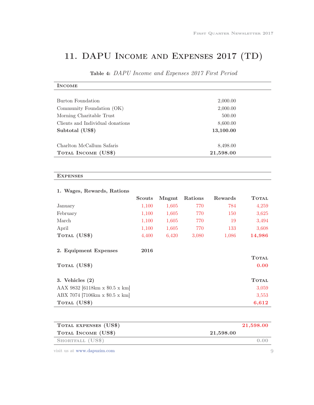# 11. DAPU Income and Expenses 2017 (TD)

| <b>INCOME</b>                    |           |  |
|----------------------------------|-----------|--|
|                                  |           |  |
| Burton Foundation                | 2,000.00  |  |
| Community Foundation (OK)        | 2,000.00  |  |
| Morning Charitable Trust         | 500.00    |  |
| Clients and Individual donations | 8,600.00  |  |
| Subtotal (US\$)                  | 13,100.00 |  |
|                                  |           |  |
| Charlton McCallum Safaris        | 8,498.00  |  |
| TOTAL INCOME (US\$)              | 21,598.00 |  |
|                                  |           |  |
|                                  |           |  |
| <b>EXPENSES</b>                  |           |  |
|                                  |           |  |

## Table 4: DAPU Income and Expenses 2017 First Period

|                                | Scouts | Mngmt | Rations | Rewards | <b>TOTAL</b> |
|--------------------------------|--------|-------|---------|---------|--------------|
| January                        | 1,100  | 1,605 | 770     | 784     | 4,259        |
| February                       | 1,100  | 1,605 | 770     | 150     | 3,625        |
| March                          | 1,100  | 1,605 | 770     | 19      | 3,494        |
| April                          | 1,100  | 1,605 | 770     | 133     | 3,608        |
| TOTAL (US\$)                   | 4,400  | 6,420 | 3,080   | 1,086   | 14,986       |
| 2. Equipment Expenses          | 2016   |       |         |         |              |
|                                |        |       |         |         | <b>TOTAL</b> |
| TOTAL (US\$)                   |        |       |         |         | 0.00         |
| 3. Vehicles $(2)$              |        |       |         |         | <b>TOTAL</b> |
| AAX 9832 [6118km x \$0.5 x km] |        |       |         |         | 3,059        |
| ABX 7074 [7106km x \$0.5 x km] |        |       |         |         | 3,553        |
| TOTAL (US\$)                   |        |       |         |         | 6,612        |

## 1. Wages, Rewards, Rations

| TOTAL EXPENSES (US\$) |                 | 21,598.00 |
|-----------------------|-----------------|-----------|
| TOTAL INCOME (US\$)   | $21{,}598{,}00$ |           |
| SHORTFALL (US\$)      |                 | 0.00      |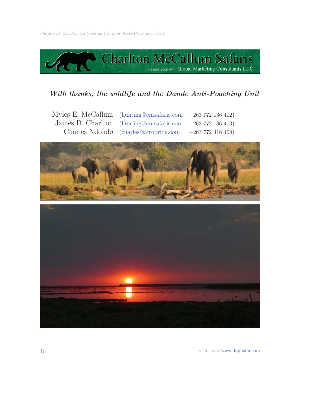

### *With thanks, the wildlife and the Dande Anti-Poaching Unit*

| Myles E. McCallum (hunting@cmsafaris.com $+263\,772\,136\,412$ ) |  |
|------------------------------------------------------------------|--|
| James D. Charlton (hunting@cmsafaris.com $+263\,772\,136\,413$ ) |  |
| Charles Ndondo (charles@afropride.com $+263\,772\,416\,408$ )    |  |